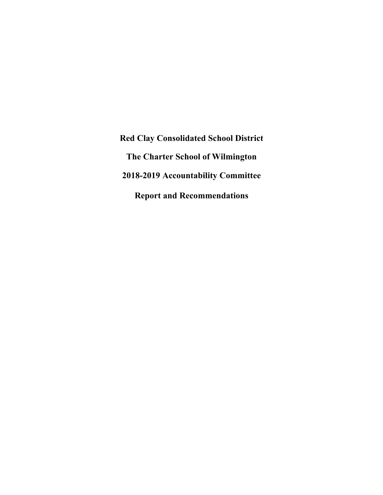**Red Clay Consolidated School District The Charter School of Wilmington 2018-2019 Accountability Committee Report and Recommendations**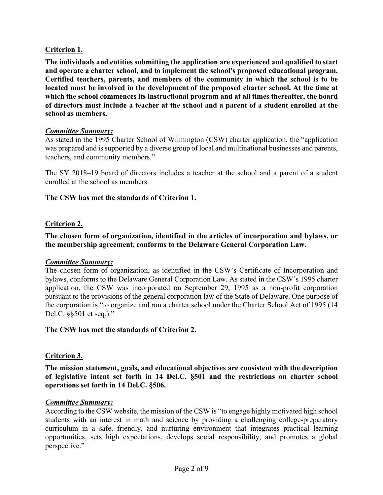# **Criterion 1.**

**The individuals and entities submitting the application are experienced and qualified to start and operate a charter school, and to implement the school's proposed educational program. Certified teachers, parents, and members of the community in which the school is to be located must be involved in the development of the proposed charter school. At the time at which the school commences its instructional program and at all times thereafter, the board of directors must include a teacher at the school and a parent of a student enrolled at the school as members.**

## *Committee Summary:*

As stated in the 1995 Charter School of Wilmington (CSW) charter application, the "application was prepared and is supported by a diverse group of local and multinational businesses and parents, teachers, and community members."

The SY 2018–19 board of directors includes a teacher at the school and a parent of a student enrolled at the school as members.

## **The CSW has met the standards of Criterion 1.**

## **Criterion 2.**

**The chosen form of organization, identified in the articles of incorporation and bylaws, or the membership agreement, conforms to the Delaware General Corporation Law.**

#### *Committee Summary:*

The chosen form of organization, as identified in the CSW's Certificate of Incorporation and bylaws, conforms to the Delaware General Corporation Law. As stated in the CSW's 1995 charter application, the CSW was incorporated on September 29, 1995 as a non-profit corporation pursuant to the provisions of the general corporation law of the State of Delaware. One purpose of the corporation is "to organize and run a charter school under the Charter School Act of 1995 (14 Del.C. §§501 et seq.)."

## **The CSW has met the standards of Criterion 2.**

## **Criterion 3.**

**The mission statement, goals, and educational objectives are consistent with the description of legislative intent set forth in 14 Del.C. §501 and the restrictions on charter school operations set forth in 14 Del.C. §506.**

#### *Committee Summary:*

According to the CSW website, the mission of the CSW is "to engage highly motivated high school students with an interest in math and science by providing a challenging college-preparatory curriculum in a safe, friendly, and nurturing environment that integrates practical learning opportunities, sets high expectations, develops social responsibility, and promotes a global perspective."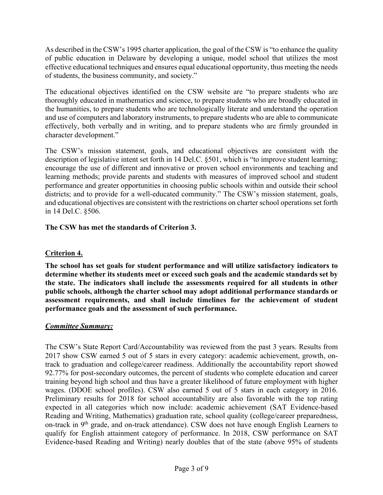As described in the CSW's 1995 charter application, the goal of the CSW is "to enhance the quality of public education in Delaware by developing a unique, model school that utilizes the most effective educational techniques and ensures equal educational opportunity, thus meeting the needs of students, the business community, and society."

The educational objectives identified on the CSW website are "to prepare students who are thoroughly educated in mathematics and science, to prepare students who are broadly educated in the humanities, to prepare students who are technologically literate and understand the operation and use of computers and laboratory instruments, to prepare students who are able to communicate effectively, both verbally and in writing, and to prepare students who are firmly grounded in character development."

The CSW's mission statement, goals, and educational objectives are consistent with the description of legislative intent set forth in 14 Del.C. §501, which is "to improve student learning; encourage the use of different and innovative or proven school environments and teaching and learning methods; provide parents and students with measures of improved school and student performance and greater opportunities in choosing public schools within and outside their school districts; and to provide for a well-educated community." The CSW's mission statement, goals, and educational objectives are consistent with the restrictions on charter school operations set forth in 14 Del.C. §506.

# **The CSW has met the standards of Criterion 3.**

# **Criterion 4.**

**The school has set goals for student performance and will utilize satisfactory indicators to determine whether its students meet or exceed such goals and the academic standards set by the state. The indicators shall include the assessments required for all students in other public schools, although the charter school may adopt additional performance standards or assessment requirements, and shall include timelines for the achievement of student performance goals and the assessment of such performance.**

# *Committee Summary:*

The CSW's State Report Card/Accountability was reviewed from the past 3 years. Results from 2017 show CSW earned 5 out of 5 stars in every category: academic achievement, growth, ontrack to graduation and college/career readiness. Additionally the accountability report showed 92.77% for post-secondary outcomes, the percent of students who complete education and career training beyond high school and thus have a greater likelihood of future employment with higher wages. (DDOE school profiles). CSW also earned 5 out of 5 stars in each category in 2016. Preliminary results for 2018 for school accountability are also favorable with the top rating expected in all categories which now include: academic achievement (SAT Evidence-based Reading and Writing, Mathematics) graduation rate, school quality (college/career preparedness, on-track in 9<sup>th</sup> grade, and on-track attendance). CSW does not have enough English Learners to qualify for English attainment category of performance. In 2018, CSW performance on SAT Evidence-based Reading and Writing) nearly doubles that of the state (above 95% of students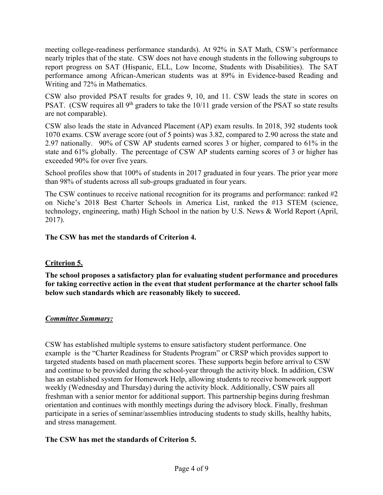meeting college-readiness performance standards). At 92% in SAT Math, CSW's performance nearly triples that of the state. CSW does not have enough students in the following subgroups to report progress on SAT (Hispanic, ELL, Low Income, Students with Disabilities). The SAT performance among African-American students was at 89% in Evidence-based Reading and Writing and 72% in Mathematics.

CSW also provided PSAT results for grades 9, 10, and 11. CSW leads the state in scores on PSAT. (CSW requires all 9<sup>th</sup> graders to take the 10/11 grade version of the PSAT so state results are not comparable).

CSW also leads the state in Advanced Placement (AP) exam results. In 2018, 392 students took 1070 exams. CSW average score (out of 5 points) was 3.82, compared to 2.90 across the state and 2.97 nationally. 90% of CSW AP students earned scores 3 or higher, compared to 61% in the state and 61% globally. The percentage of CSW AP students earning scores of 3 or higher has exceeded 90% for over five years.

School profiles show that 100% of students in 2017 graduated in four years. The prior year more than 98% of students across all sub-groups graduated in four years.

The CSW continues to receive national recognition for its programs and performance: ranked #2 on Niche's 2018 Best Charter Schools in America List, ranked the #13 STEM (science, technology, engineering, math) High School in the nation by U.S. News & World Report (April, 2017).

**The CSW has met the standards of Criterion 4.**

# **Criterion 5.**

**The school proposes a satisfactory plan for evaluating student performance and procedures for taking corrective action in the event that student performance at the charter school falls below such standards which are reasonably likely to succeed.**

## *Committee Summary:*

CSW has established multiple systems to ensure satisfactory student performance. One example is the "Charter Readiness for Students Program" or CRSP which provides support to targeted students based on math placement scores. These supports begin before arrival to CSW and continue to be provided during the school-year through the activity block. In addition, CSW has an established system for Homework Help, allowing students to receive homework support weekly (Wednesday and Thursday) during the activity block. Additionally, CSW pairs all freshman with a senior mentor for additional support. This partnership begins during freshman orientation and continues with monthly meetings during the advisory block. Finally, freshman participate in a series of seminar/assemblies introducing students to study skills, healthy habits, and stress management.

## **The CSW has met the standards of Criterion 5.**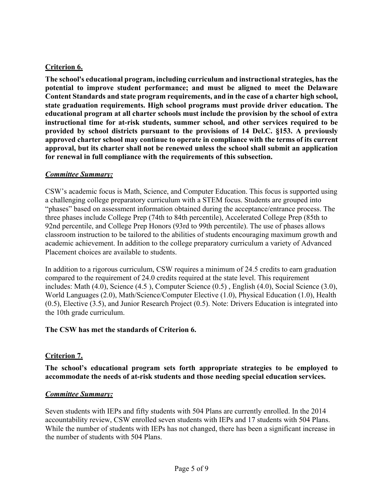# **Criterion 6.**

**The school's educational program, including curriculum and instructional strategies, has the potential to improve student performance; and must be aligned to meet the Delaware Content Standards and state program requirements, and in the case of a charter high school, state graduation requirements. High school programs must provide driver education. The educational program at all charter schools must include the provision by the school of extra instructional time for at-risk students, summer school, and other services required to be provided by school districts pursuant to the provisions of 14 Del.C. §153. A previously approved charter school may continue to operate in compliance with the terms of its current approval, but its charter shall not be renewed unless the school shall submit an application for renewal in full compliance with the requirements of this subsection.**

### *Committee Summary:*

CSW's academic focus is Math, Science, and Computer Education. This focus is supported using a challenging college preparatory curriculum with a STEM focus. Students are grouped into "phases" based on assessment information obtained during the acceptance/entrance process. The three phases include College Prep (74th to 84th percentile), Accelerated College Prep (85th to 92nd percentile, and College Prep Honors (93rd to 99th percentile). The use of phases allows classroom instruction to be tailored to the abilities of students encouraging maximum growth and academic achievement. In addition to the college preparatory curriculum a variety of Advanced Placement choices are available to students.

In addition to a rigorous curriculum, CSW requires a minimum of 24.5 credits to earn graduation compared to the requirement of 24.0 credits required at the state level. This requirement includes: Math (4.0), Science (4.5 ), Computer Science (0.5) , English (4.0), Social Science (3.0), World Languages (2.0), Math/Science/Computer Elective (1.0), Physical Education (1.0), Health (0.5), Elective (3.5), and Junior Research Project (0.5). Note: Drivers Education is integrated into the 10th grade curriculum.

## **The CSW has met the standards of Criterion 6.**

## **Criterion 7.**

**The school's educational program sets forth appropriate strategies to be employed to accommodate the needs of at-risk students and those needing special education services.**

## *Committee Summary:*

Seven students with IEPs and fifty students with 504 Plans are currently enrolled. In the 2014 accountability review, CSW enrolled seven students with IEPs and 17 students with 504 Plans. While the number of students with IEPs has not changed, there has been a significant increase in the number of students with 504 Plans.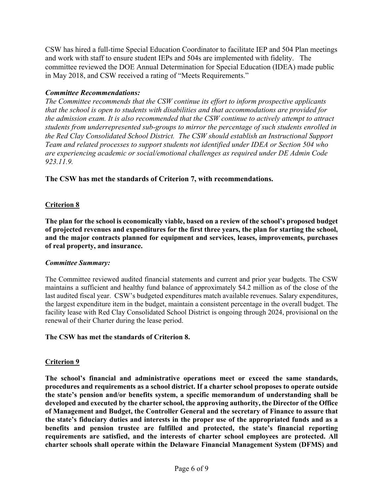CSW has hired a full-time Special Education Coordinator to facilitate IEP and 504 Plan meetings and work with staff to ensure student IEPs and 504s are implemented with fidelity. The committee reviewed the DOE Annual Determination for Special Education (IDEA) made public in May 2018, and CSW received a rating of "Meets Requirements."

## *Committee Recommendations:*

*The Committee recommends that the CSW continue its effort to inform prospective applicants that the school is open to students with disabilities and that accommodations are provided for the admission exam. It is also recommended that the CSW continue to actively attempt to attract students from underrepresented sub-groups to mirror the percentage of such students enrolled in the Red Clay Consolidated School District. The CSW should establish an Instructional Support Team and related processes to support students not identified under IDEA or Section 504 who are experiencing academic or social/emotional challenges as required under DE Admin Code 923.11.9.*

## **The CSW has met the standards of Criterion 7, with recommendations.**

## **Criterion 8**

**The plan for the school is economically viable, based on a review of the school's proposed budget of projected revenues and expenditures for the first three years, the plan for starting the school, and the major contracts planned for equipment and services, leases, improvements, purchases of real property, and insurance.** 

#### *Committee Summary:*

The Committee reviewed audited financial statements and current and prior year budgets. The CSW maintains a sufficient and healthy fund balance of approximately \$4.2 million as of the close of the last audited fiscal year. CSW's budgeted expenditures match available revenues. Salary expenditures, the largest expenditure item in the budget, maintain a consistent percentage in the overall budget. The facility lease with Red Clay Consolidated School District is ongoing through 2024, provisional on the renewal of their Charter during the lease period.

#### **The CSW has met the standards of Criterion 8.**

#### **Criterion 9**

**The school's financial and administrative operations meet or exceed the same standards, procedures and requirements as a school district. If a charter school proposes to operate outside the state's pension and/or benefits system, a specific memorandum of understanding shall be developed and executed by the charter school, the approving authority, the Director of the Office of Management and Budget, the Controller General and the secretary of Finance to assure that the state's fiduciary duties and interests in the proper use of the appropriated funds and as a benefits and pension trustee are fulfilled and protected, the state's financial reporting requirements are satisfied, and the interests of charter school employees are protected. All charter schools shall operate within the Delaware Financial Management System (DFMS) and**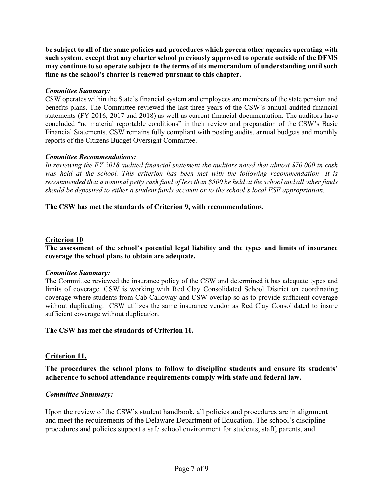**be subject to all of the same policies and procedures which govern other agencies operating with such system, except that any charter school previously approved to operate outside of the DFMS may continue to so operate subject to the terms of its memorandum of understanding until such time as the school's charter is renewed pursuant to this chapter.** 

### *Committee Summary:*

CSW operates within the State's financial system and employees are members of the state pension and benefits plans. The Committee reviewed the last three years of the CSW's annual audited financial statements (FY 2016, 2017 and 2018) as well as current financial documentation. The auditors have concluded "no material reportable conditions" in their review and preparation of the CSW's Basic Financial Statements. CSW remains fully compliant with posting audits, annual budgets and monthly reports of the Citizens Budget Oversight Committee.

#### *Committee Recommendations:*

*In reviewing the FY 2018 audited financial statement the auditors noted that almost \$70,000 in cash was held at the school. This criterion has been met with the following recommendation- It is recommended that a nominal petty cash fund of less than \$500 be held at the school and all other funds should be deposited to either a student funds account or to the school's local FSF appropriation.*

### **The CSW has met the standards of Criterion 9, with recommendations.**

### **Criterion 10**

### **The assessment of the school's potential legal liability and the types and limits of insurance coverage the school plans to obtain are adequate.**

#### *Committee Summary:*

The Committee reviewed the insurance policy of the CSW and determined it has adequate types and limits of coverage. CSW is working with Red Clay Consolidated School District on coordinating coverage where students from Cab Calloway and CSW overlap so as to provide sufficient coverage without duplicating. CSW utilizes the same insurance vendor as Red Clay Consolidated to insure sufficient coverage without duplication.

#### **The CSW has met the standards of Criterion 10.**

## **Criterion 11.**

**The procedures the school plans to follow to discipline students and ensure its students' adherence to school attendance requirements comply with state and federal law.**

#### *Committee Summary:*

Upon the review of the CSW's student handbook, all policies and procedures are in alignment and meet the requirements of the Delaware Department of Education. The school's discipline procedures and policies support a safe school environment for students, staff, parents, and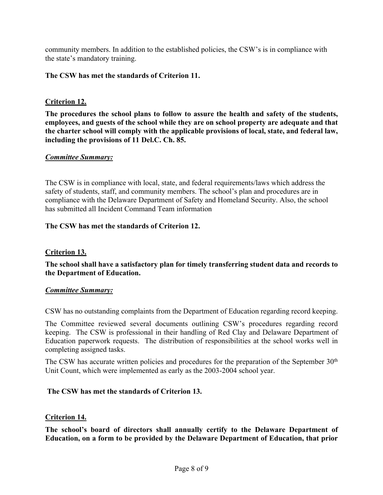community members. In addition to the established policies, the CSW's is in compliance with the state's mandatory training.

## **The CSW has met the standards of Criterion 11.**

## **Criterion 12.**

**The procedures the school plans to follow to assure the health and safety of the students, employees, and guests of the school while they are on school property are adequate and that the charter school will comply with the applicable provisions of local, state, and federal law, including the provisions of 11 Del.C. Ch. 85.**

## *Committee Summary:*

The CSW is in compliance with local, state, and federal requirements/laws which address the safety of students, staff, and community members. The school's plan and procedures are in compliance with the Delaware Department of Safety and Homeland Security. Also, the school has submitted all Incident Command Team information

## **The CSW has met the standards of Criterion 12.**

## **Criterion 13.**

**The school shall have a satisfactory plan for timely transferring student data and records to the Department of Education.**

## *Committee Summary:*

CSW has no outstanding complaints from the Department of Education regarding record keeping.

The Committee reviewed several documents outlining CSW's procedures regarding record keeping. The CSW is professional in their handling of Red Clay and Delaware Department of Education paperwork requests. The distribution of responsibilities at the school works well in completing assigned tasks.

The CSW has accurate written policies and procedures for the preparation of the September 30th Unit Count, which were implemented as early as the 2003-2004 school year.

## **The CSW has met the standards of Criterion 13.**

## **Criterion 14.**

**The school's board of directors shall annually certify to the Delaware Department of Education, on a form to be provided by the Delaware Department of Education, that prior**